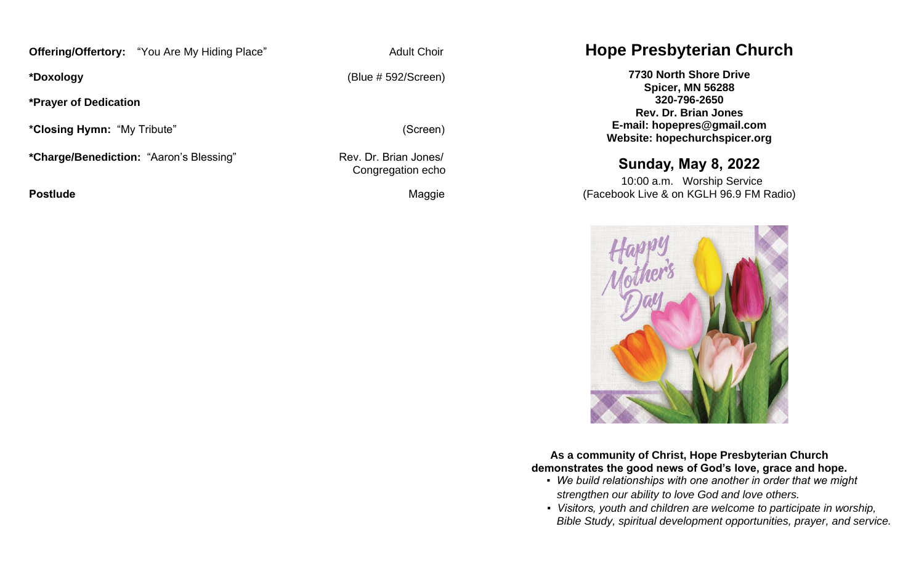**Offering/Offertory:** "You Are My Hiding Place" Adult Choir

**\*Prayer of Dedication**

**\*Closing Hymn:** "My Tribute" (Screen)

\*Charge/Benediction: "Aaron's Blessing" Rev. Dr. Brian Jones/

**Postlude Contract Contract Contract Contract Contract Contract Contract Contract Contract Contract Contract Contract Contract Contract Contract Contract Contract Contract Contract Contract Contract Contract Contract Contr** 

**\*Doxology** (Blue # 592/Screen)

Congregation echo

# **Hope Presbyterian Church**

**7730 North Shore Drive Spicer, MN 56288 320-796-2650 Rev. Dr. Brian Jones E-mail: hopepres@gmail.com Website: hopechurchspicer.org**

# **Sunday, May 8, 2022**

 10:00 a.m. Worship Service (Facebook Live & on KGLH 96.9 FM Radio)



**As a community of Christ, Hope Presbyterian Church demonstrates the good news of God's love, grace and hope.**

- *We build relationships with one another in order that we might strengthen our ability to love God and love others.*
- *Visitors, youth and children are welcome to participate in worship, Bible Study, spiritual development opportunities, prayer, and service.*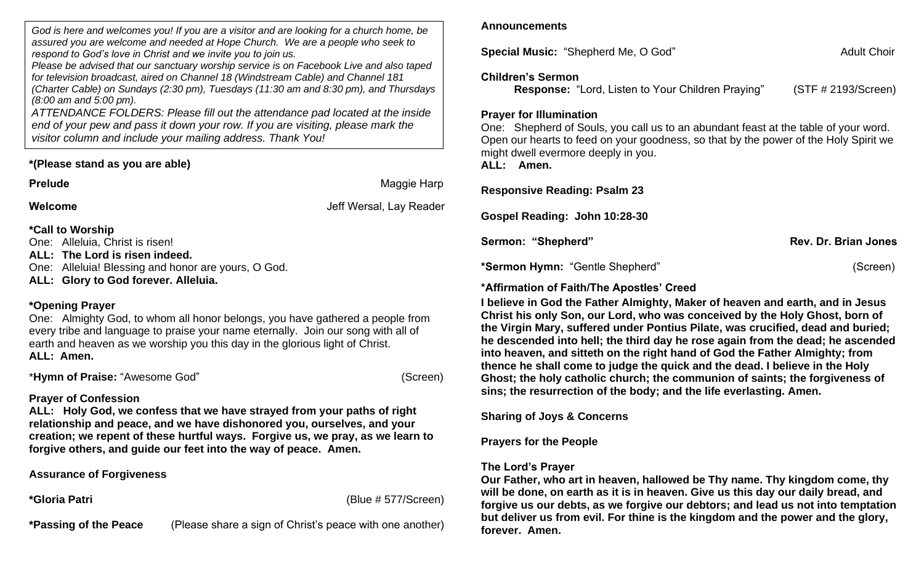*God is here and welcomes you! If you are a visitor and are looking for a church home, be assured you are welcome and needed at Hope Church. We are a people who seek to respond to God's love in Christ and we invite you to join us.*

*Please be advised that our sanctuary worship service is on Facebook Live and also taped for television broadcast, aired on Channel 18 (Windstream Cable) and Channel 181 (Charter Cable) on Sundays (2:30 pm), Tuesdays (11:30 am and 8:30 pm), and Thursdays (8:00 am and 5:00 pm).*

*ATTENDANCE FOLDERS: Please fill out the attendance pad located at the inside end of your pew and pass it down your row. If you are visiting, please mark the visitor column and include your mailing address. Thank You!*

## **\*(Please stand as you are able)**

**Prelude Maggie Harp Maggie Harp Maggie Harp Maggie Harp** 

**Welcome** Jeff Wersal, Lay Reader

**\*Call to Worship** One: Alleluia, Christ is risen!

**ALL: The Lord is risen indeed.** 

One: Alleluia! Blessing and honor are yours, O God.

**ALL: Glory to God forever. Alleluia.**

## **\*Opening Prayer**

One: Almighty God, to whom all honor belongs, you have gathered a people from every tribe and language to praise your name eternally. Join our song with all of earth and heaven as we worship you this day in the glorious light of Christ. **ALL: Amen.**

\***Hymn of Praise:** "Awesome God" (Screen)

## **Prayer of Confession**

**ALL: Holy God, we confess that we have strayed from your paths of right relationship and peace, and we have dishonored you, ourselves, and your creation; we repent of these hurtful ways. Forgive us, we pray, as we learn to forgive others, and guide our feet into the way of peace. Amen.** 

**Assurance of Forgiveness**

**\*Gloria Patri** (Blue # 577/Screen)

**\*Passing of the Peace** (Please share a sign of Christ's peace with one another)

## **Announcements**

**Special Music: "Shepherd Me, O God" Adult Choir Adult Choir Adult Choir** 

## **Children's Sermon**

**Response:** "Lord, Listen to Your Children Praying" (STF # 2193/Screen)

## **Prayer for Illumination**

One: Shepherd of Souls, you call us to an abundant feast at the table of your word. Open our hearts to feed on your goodness, so that by the power of the Holy Spirit we might dwell evermore deeply in you. **ALL: Amen.**

## **Responsive Reading: Psalm 23**

**Gospel Reading: John 10:28-30**

Sermon: "Shepherd" **Rev. Dr. Brian Jones** Rev. Dr. Brian Jones

**\*Sermon Hymn:** "Gentle Shepherd" (Screen)

**\*Affirmation of Faith/The Apostles' Creed** 

**I believe in God the Father Almighty, Maker of heaven and earth, and in Jesus Christ his only Son, our Lord, who was conceived by the Holy Ghost, born of the Virgin Mary, suffered under Pontius Pilate, was crucified, dead and buried; he descended into hell; the third day he rose again from the dead; he ascended into heaven, and sitteth on the right hand of God the Father Almighty; from thence he shall come to judge the quick and the dead. I believe in the Holy Ghost; the holy catholic church; the communion of saints; the forgiveness of sins; the resurrection of the body; and the life everlasting. Amen.**

**Sharing of Joys & Concerns**

## **Prayers for the People**

## **The Lord's Prayer**

**Our Father, who art in heaven, hallowed be Thy name. Thy kingdom come, thy will be done, on earth as it is in heaven. Give us this day our daily bread, and forgive us our debts, as we forgive our debtors; and lead us not into temptation but deliver us from evil. For thine is the kingdom and the power and the glory, forever. Amen.**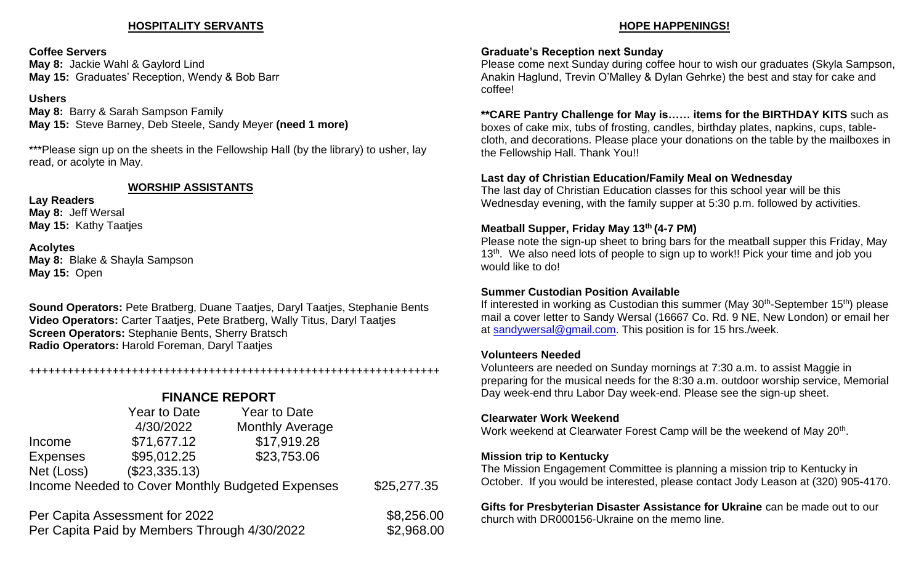## **HOSPITALITY SERVANTS**

### **Coffee Servers**

**May 8:** Jackie Wahl & Gaylord Lind **May 15:** Graduates' Reception, Wendy & Bob Barr

#### **Ushers**

**May 8:** Barry & Sarah Sampson Family **May 15:** Steve Barney, Deb Steele, Sandy Meyer **(need 1 more)**

\*\*\*Please sign up on the sheets in the Fellowship Hall (by the library) to usher, lay read, or acolyte in May.

#### **WORSHIP ASSISTANTS**

**Lay Readers May 8:** Jeff Wersal **May 15:** Kathy Taatjes

**Acolytes May 8:** Blake & Shayla Sampson **May 15:** Open

**Sound Operators:** Pete Bratberg, Duane Taatjes, Daryl Taatjes, Stephanie Bents **Video Operators:** Carter Taatjes, Pete Bratberg, Wally Titus, Daryl Taatjes **Screen Operators:** Stephanie Bents, Sherry Bratsch **Radio Operators:** Harold Foreman, Daryl Taatjes

#### ++++++++++++++++++++++++++++++++++++++++++++++++++++++++++++++++

## **FINANCE REPORT**

|                                                  | Year to Date  | <b>Year to Date</b>    |             |
|--------------------------------------------------|---------------|------------------------|-------------|
|                                                  | 4/30/2022     | <b>Monthly Average</b> |             |
| Income                                           | \$71,677.12   | \$17,919.28            |             |
| <b>Expenses</b>                                  | \$95,012.25   | \$23,753.06            |             |
| Net (Loss)                                       | (\$23,335.13) |                        |             |
| Income Needed to Cover Monthly Budgeted Expenses |               |                        | \$25,277.35 |
|                                                  |               |                        |             |

Per Capita Assessment for 2022 \$8,256.00 Per Capita Paid by Members Through 4/30/2022 \$2,968.00

## **HOPE HAPPENINGS!**

## **Graduate's Reception next Sunday**

Please come next Sunday during coffee hour to wish our graduates (Skyla Sampson, Anakin Haglund, Trevin O'Malley & Dylan Gehrke) the best and stay for cake and coffee!

**\*\*CARE Pantry Challenge for May is…… items for the BIRTHDAY KITS** such as boxes of cake mix, tubs of frosting, candles, birthday plates, napkins, cups, table-

cloth, and decorations. Please place your donations on the table by the mailboxes in the Fellowship Hall. Thank You!!

## **Last day of Christian Education/Family Meal on Wednesday**

The last day of Christian Education classes for this school year will be this Wednesday evening, with the family supper at 5:30 p.m. followed by activities.

## **Meatball Supper, Friday May 13th (4-7 PM)**

Please note the sign-up sheet to bring bars for the meatball supper this Friday, May 13<sup>th</sup>. We also need lots of people to sign up to work!! Pick your time and job you would like to do!

## **Summer Custodian Position Available**

If interested in working as Custodian this summer (May 30<sup>th</sup>-September 15<sup>th</sup>) please mail a cover letter to Sandy Wersal (16667 Co. Rd. 9 NE, New London) or email her at [sandywersal@gmail.com.](mailto:sandywersal@gmail.com) This position is for 15 hrs./week.

## **Volunteers Needed**

Volunteers are needed on Sunday mornings at 7:30 a.m. to assist Maggie in preparing for the musical needs for the 8:30 a.m. outdoor worship service, Memorial Day week-end thru Labor Day week-end. Please see the sign-up sheet.

## **Clearwater Work Weekend**

Work weekend at Clearwater Forest Camp will be the weekend of May 20<sup>th</sup>.

## **Mission trip to Kentucky**

The Mission Engagement Committee is planning a mission trip to Kentucky in October. If you would be interested, please contact Jody Leason at (320) 905-4170.

**Gifts for Presbyterian Disaster Assistance for Ukraine** can be made out to our church with DR000156-Ukraine on the memo line.